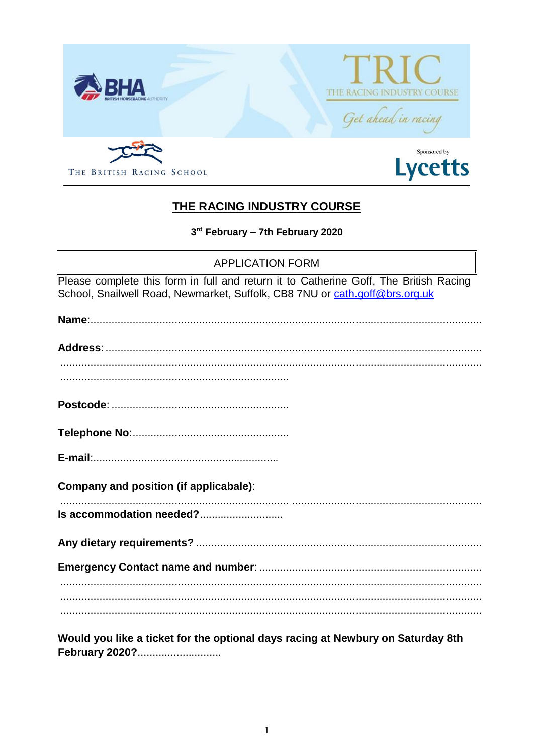

## THE RACING INDUSTRY COURSE

3rd February - 7th February 2020

**APPLICATION FORM** 

Please complete this form in full and return it to Catherine Goff, The British Racing School, Snailwell Road, Newmarket, Suffolk, CB8 7NU or cath.goff@brs.org.uk

| Would you like a ticket for the optional days racing at Newbury on Saturday 8th |  |
|---------------------------------------------------------------------------------|--|
|                                                                                 |  |
|                                                                                 |  |
|                                                                                 |  |
| Is accommodation needed?                                                        |  |
| Company and position (if applicabale):                                          |  |
|                                                                                 |  |
|                                                                                 |  |
|                                                                                 |  |
|                                                                                 |  |
|                                                                                 |  |
|                                                                                 |  |
|                                                                                 |  |

February 2020?.............................